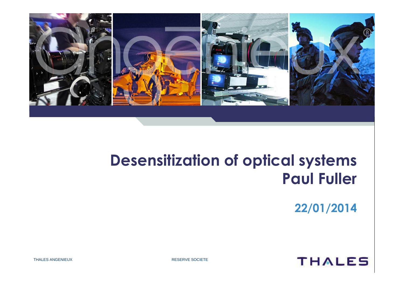

# **Desensitization of optical systemsPaul Fuller**

**22/01/2014**



THALES ANGENIEUX RESERVE SOCIETE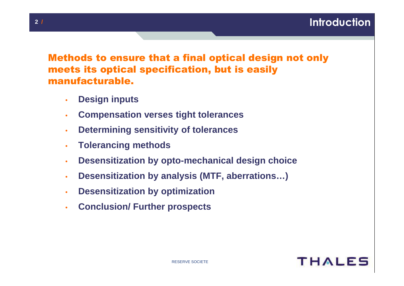### Methods to ensure that a final optical design not only meets its optical specification, but is easily manufacturable.

- •**Design inputs**
- •**Compensation verses tight tolerances**
- •**Determining sensitivity of tolerances**
- •**Tolerancing methods**
- •**Desensitization by opto-mechanical design choice**
- •**Desensitization by analysis (MTF, aberrations…)**
- •**Desensitization by optimization**
- •**Conclusion/ Further prospects**

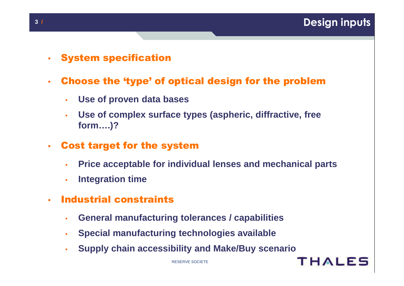- •• System specification<br>•
- • Choose the 'type' of optical design for the problem
	- •**Use of proven data bases**
	- • **Use of complex surface types (aspheric, diffractive, free form….)?**
- • Cost target for the system
	- •**Price acceptable for individual lenses and mechanical parts**
	- •**Integration time**
- • Industrial constraints
	- •**General manufacturing tolerances / capabilities**
	- •**Special manufacturing technologies available**
	- •**Supply chain accessibility and Make/Buy scenario**

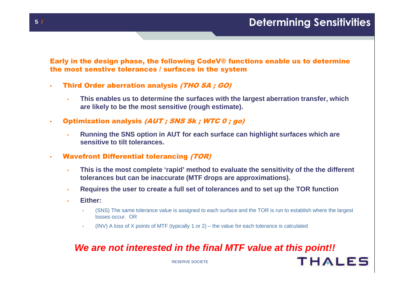**THALES** 

Early in the design phase, the following CodeV® functions enable us to determine the most senstive tolerances / surfaces in the system

- • Third Order aberration analysis (THO SA ; GO)
	- • **This enables us to determine the surfaces with the largest aberration transfer, which are likely to be the most sensitive (rough estimate).**
- •Optimization analysis (AUT ; SNS Sk ; WTC 0 ; go)
	- • **Running the SNS option in AUT for each surface can highlight surfaces which are sensitive to tilt tolerances.**
- • Wavefront Differential tolerancing (TOR)
	- • **This is the most complete 'rapid' method to evaluate the sensitivity of the the different tolerances but can be inaccurate (MTF drops are approximations).**
	- •**Requires the user to create a full set of tolerances and to set up the TOR function**
	- • **Either:**
		- • (SNS) The same tolerance value is assigned to each surface and the TOR is run to establish where the largest losses occur. OR
		- •(INV) A loss of X points of MTF (typically 1 or 2) – the value for each tolerance is calculated

#### **We are not interested in the final MTF value at this point!!**

RESERVE SOCIETE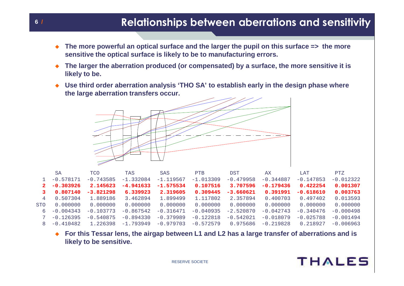#### **/ Relationships between aberrations and sensitivity**

- $\bullet$  **The more powerful an optical surface and the larger the pupil on this surface => the more sensitive the optical surface is likely to be to manufacturing errors.**
- $\bullet$  **The larger the aberration produced (or compensated) by a surface, the more sensitive it is likely to be.**
- $\bullet$  **Use third order aberration analysis 'THO SA' to establish early in the design phase where the large aberration transfers occur.**



|                | SA          | <b>TCO</b>  | TAS         | <b>SAS</b>  | <b>PTB</b>  | <b>DST</b>  | AX          | LAT         | PTZ         |
|----------------|-------------|-------------|-------------|-------------|-------------|-------------|-------------|-------------|-------------|
|                | $-0.578171$ | $-0.743585$ | $-1.332084$ | $-1.119567$ | $-1.013309$ | $-0.479958$ | $-0.344887$ | $-0.147853$ | $-0.012322$ |
| $2^{\circ}$    | $-0.303926$ | 2.145623    | $-4.941633$ | $-1.575534$ | 0.107516    | 3.707596    | $-0.179436$ | 0.422254    | 0.001307    |
|                | 0.807140    | $-3.821298$ | 6.339923    | 2.319605    | 0.309445    | $-3.660621$ | 0.391991    | $-0.618610$ | 0.003763    |
| $\overline{4}$ | 0.507304    | 1.889186    | 3.462894    | 1.899499    | 1.117802    | 2.357894    | 0.400703    | 0.497402    | 0.013593    |
| <b>STO</b>     | 0.000000    | 0.000000    | 0.000000    | 0.000000    | 0.000000    | 0.000000    | 0.000000    | 0.000000    | 0.000000    |
| 6              | $-0.004343$ | $-0.103773$ | $-0.867542$ | $-0.316471$ | $-0.040935$ | $-2.520870$ | $-0.042743$ | $-0.340476$ | $-0.000498$ |
|                | $-0.126395$ | $-0.540875$ | $-0.894330$ | $-0.379989$ | $-0.122818$ | $-0.542021$ | $-0.018079$ | $-0.025788$ | $-0.001494$ |
|                | $-0.410482$ | 1.226398    | $-1.793949$ | $-0.979703$ | $-0.572579$ | 0.975686    | $-0.219828$ | 0.218927    | $-0.006963$ |

 $\bullet$ For this Tessar lens, the airgap between L1 and L2 has a large transfer of aberrations and is **likely to be sensitive.**



**6**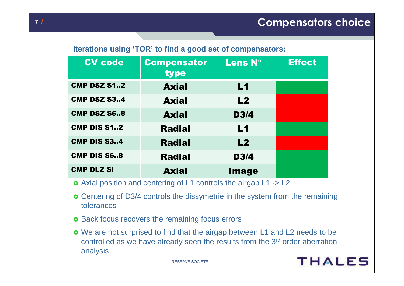#### **Iterations using 'TOR' to find a good set of compensators:**

| <b>CV</b> code     | <b>Compensator</b><br>type | <b>Lens N°</b> | <b>Effect</b> |
|--------------------|----------------------------|----------------|---------------|
| <b>CMP DSZ S12</b> | <b>Axial</b>               | L <sub>1</sub> |               |
| <b>CMP DSZ S34</b> | <b>Axial</b>               | L2             |               |
| <b>CMP DSZ S68</b> | <b>Axial</b>               | D3/4           |               |
| <b>CMP DIS S12</b> | <b>Radial</b>              | L1             |               |
| <b>CMP DIS S34</b> | <b>Radial</b>              | L2             |               |
| <b>CMP DIS S68</b> | <b>Radial</b>              | <b>D3/4</b>    |               |
| <b>CMP DLZ Si</b>  | <b>Axial</b>               | <b>Image</b>   |               |

- Axial position and centering of L1 controls the airgap L1 -> L2

- **o** Centering of D3/4 controls the dissymetrie in the system from the remaining tolerances
- o Back focus recovers the remaining focus errors
- We are not surprised to find that the airgap between L1 and L2 needs to be controlled as we have already seen the results from the 3<sup>rd</sup> order aberration analysis

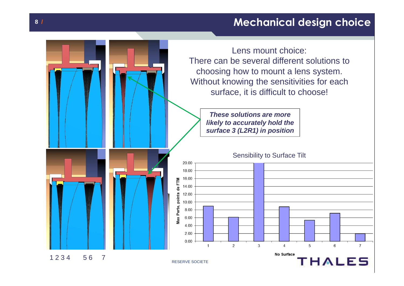## **/ Mechanical design choice**

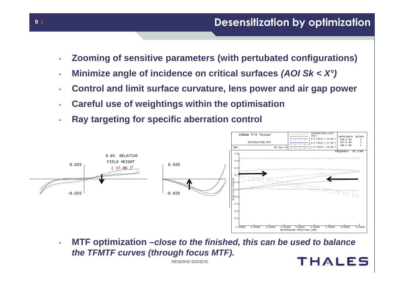- •**Zooming of sensitive parameters (with pertubated configurations)**
- •**Minimize angle of incidence on critical surfaces (AOI Sk < X°)**
- •**Control and limit surface curvature, lens power and air gap power**
- •**Careful use of weightings within the optimisation**
- •**Ray targeting for specific aberration control**



 **MTF optimization –close to the finished, this can be used to balance** •**the TFMTF curves (through focus MTF).THALES** 

RESERVE SOCIETE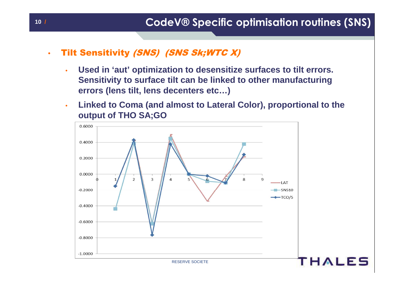- •**Tilt Sensitivity (SNS) (SNS Sk;WTC X)** 
	- • **Used in 'aut' optimization to desensitize surfaces to tilt errors. Sensitivity to surface tilt can be linked to other manufacturing errors (lens tilt, lens decenters etc…)**
	- • **Linked to Coma (and almost to Lateral Color), proportional to the output of THO SA;GO**

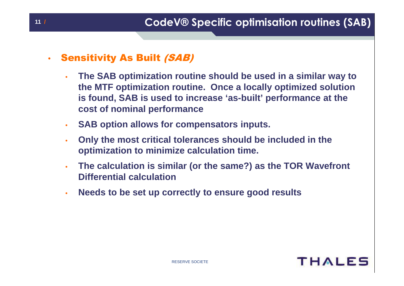#### •Sensitivity As Built (SAB)

- • **The SAB optimization routine should be used in a similar way to the MTF optimization routine. Once a locally optimized solution is found, SAB is used to increase 'as-built' performance at the cost of nominal performance**
- •**SAB option allows for compensators inputs.**
- • **Only the most critical tolerances should be included in the optimization to minimize calculation time.**
- • **The calculation is similar (or the same?) as the TOR WavefrontDifferential calculation**
- •**Needs to be set up correctly to ensure good results**